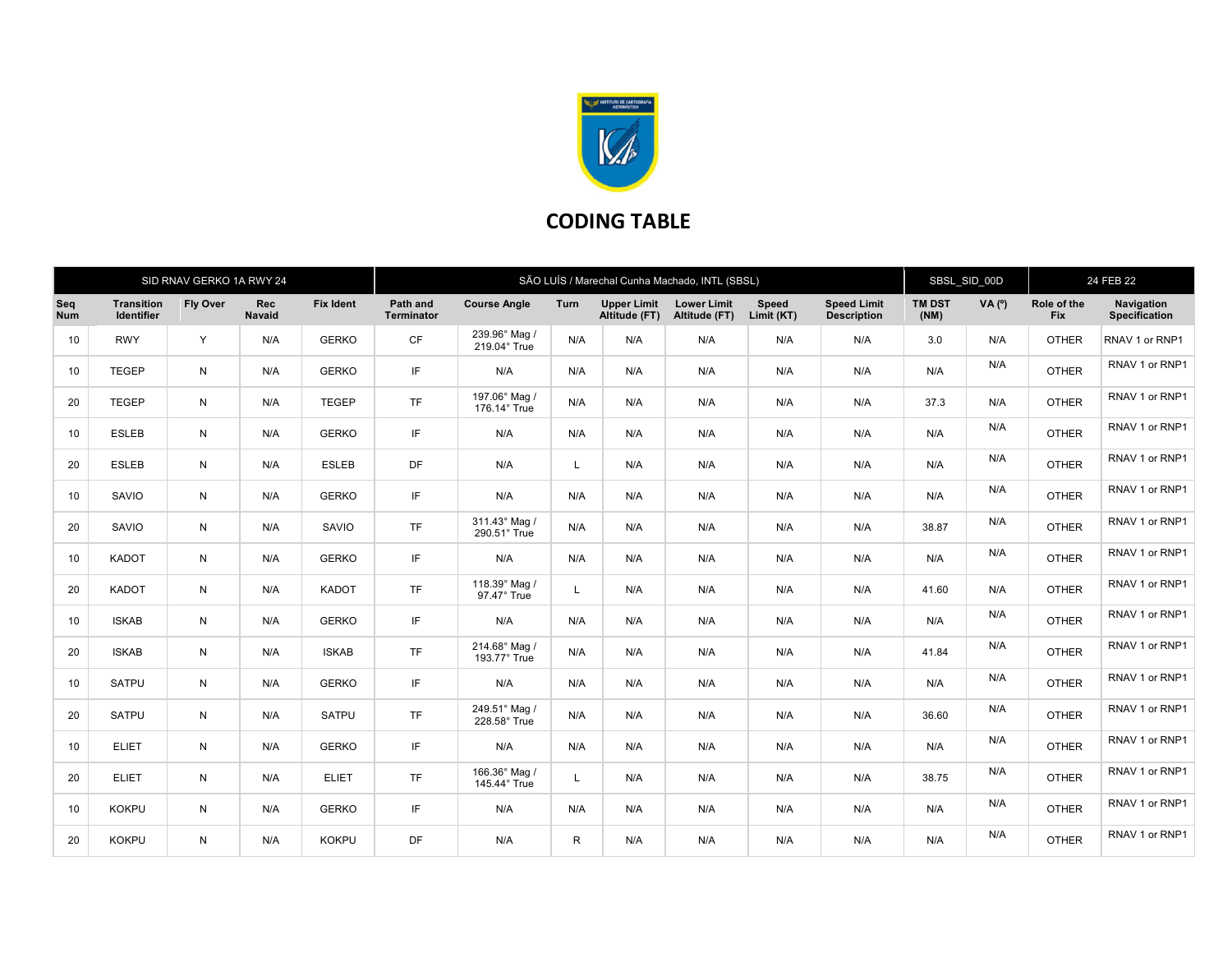

## CODING TABLE

| SID RNAV GERKO 1A RWY 24 |                                        |                 |                      | SÃO LUÍS / Marechal Cunha Machado, INTL (SBSL) |                        |                               |              |                                     |                                     |                     | SBSL SID 00D                             |                       | 24 FEB 22 |                           |                                    |
|--------------------------|----------------------------------------|-----------------|----------------------|------------------------------------------------|------------------------|-------------------------------|--------------|-------------------------------------|-------------------------------------|---------------------|------------------------------------------|-----------------------|-----------|---------------------------|------------------------------------|
| Seq<br><b>Num</b>        | <b>Transition</b><br><b>Identifier</b> | <b>Fly Over</b> | Rec<br><b>Navaid</b> | <b>Fix Ident</b>                               | Path and<br>Terminator | <b>Course Angle</b>           | Turn         | <b>Upper Limit</b><br>Altitude (FT) | <b>Lower Limit</b><br>Altitude (FT) | Speed<br>Limit (KT) | <b>Speed Limit</b><br><b>Description</b> | <b>TM DST</b><br>(NM) | VA (°)    | Role of the<br><b>Fix</b> | Navigation<br><b>Specification</b> |
| 10                       | <b>RWY</b>                             | Y               | N/A                  | <b>GERKO</b>                                   | CF                     | 239.96° Mag /<br>219.04° True | N/A          | N/A                                 | N/A                                 | N/A                 | N/A                                      | 3.0                   | N/A       | <b>OTHER</b>              | RNAV 1 or RNP1                     |
| 10                       | <b>TEGEP</b>                           | N               | N/A                  | <b>GERKO</b>                                   | IF                     | N/A                           | N/A          | N/A                                 | N/A                                 | N/A                 | N/A                                      | N/A                   | N/A       | <b>OTHER</b>              | RNAV 1 or RNP1                     |
| 20                       | <b>TEGEP</b>                           | N               | N/A                  | <b>TEGEP</b>                                   | <b>TF</b>              | 197.06° Mag /<br>176.14° True | N/A          | N/A                                 | N/A                                 | N/A                 | N/A                                      | 37.3                  | N/A       | <b>OTHER</b>              | RNAV 1 or RNP1                     |
| 10                       | <b>ESLEB</b>                           | N               | N/A                  | <b>GERKO</b>                                   | IF                     | N/A                           | N/A          | N/A                                 | N/A                                 | N/A                 | N/A                                      | N/A                   | N/A       | <b>OTHER</b>              | RNAV 1 or RNP1                     |
| 20                       | <b>ESLEB</b>                           | N               | N/A                  | <b>ESLEB</b>                                   | DF                     | N/A                           | L            | N/A                                 | N/A                                 | N/A                 | N/A                                      | N/A                   | N/A       | <b>OTHER</b>              | RNAV 1 or RNP1                     |
| 10                       | SAVIO                                  | N               | N/A                  | <b>GERKO</b>                                   | IF                     | N/A                           | N/A          | N/A                                 | N/A                                 | N/A                 | N/A                                      | N/A                   | N/A       | <b>OTHER</b>              | RNAV 1 or RNP1                     |
| 20                       | SAVIO                                  | N               | N/A                  | SAVIO                                          | <b>TF</b>              | 311.43° Mag /<br>290.51° True | N/A          | N/A                                 | N/A                                 | N/A                 | N/A                                      | 38.87                 | N/A       | <b>OTHER</b>              | RNAV 1 or RNP1                     |
| 10                       | <b>KADOT</b>                           | ${\sf N}$       | N/A                  | <b>GERKO</b>                                   | IF                     | N/A                           | N/A          | N/A                                 | N/A                                 | N/A                 | N/A                                      | N/A                   | N/A       | <b>OTHER</b>              | RNAV 1 or RNP1                     |
| 20                       | <b>KADOT</b>                           | N               | N/A                  | <b>KADOT</b>                                   | <b>TF</b>              | 118.39° Mag /<br>97.47° True  | L.           | N/A                                 | N/A                                 | N/A                 | N/A                                      | 41.60                 | N/A       | <b>OTHER</b>              | RNAV 1 or RNP1                     |
| 10                       | <b>ISKAB</b>                           | N               | N/A                  | <b>GERKO</b>                                   | IF                     | N/A                           | N/A          | N/A                                 | N/A                                 | N/A                 | N/A                                      | N/A                   | N/A       | OTHER                     | RNAV 1 or RNP1                     |
| 20                       | <b>ISKAB</b>                           | N               | N/A                  | <b>ISKAB</b>                                   | <b>TF</b>              | 214.68° Mag /<br>193.77° True | N/A          | N/A                                 | N/A                                 | N/A                 | N/A                                      | 41.84                 | N/A       | <b>OTHER</b>              | RNAV 1 or RNP1                     |
| 10                       | SATPU                                  | N               | N/A                  | <b>GERKO</b>                                   | IF                     | N/A                           | N/A          | N/A                                 | N/A                                 | N/A                 | N/A                                      | N/A                   | N/A       | <b>OTHER</b>              | RNAV 1 or RNP1                     |
| 20                       | <b>SATPU</b>                           | N               | N/A                  | <b>SATPU</b>                                   | <b>TF</b>              | 249.51° Mag /<br>228.58° True | N/A          | N/A                                 | N/A                                 | N/A                 | N/A                                      | 36.60                 | N/A       | <b>OTHER</b>              | RNAV 1 or RNP1                     |
| 10                       | <b>ELIET</b>                           | $\mathsf{N}$    | N/A                  | <b>GERKO</b>                                   | IF                     | N/A                           | N/A          | N/A                                 | N/A                                 | N/A                 | N/A                                      | N/A                   | N/A       | <b>OTHER</b>              | RNAV 1 or RNP1                     |
| 20                       | <b>ELIET</b>                           | ${\sf N}$       | N/A                  | <b>ELIET</b>                                   | <b>TF</b>              | 166.36° Mag /<br>145.44° True | L            | N/A                                 | N/A                                 | N/A                 | N/A                                      | 38.75                 | N/A       | <b>OTHER</b>              | RNAV 1 or RNP1                     |
| 10                       | <b>KOKPU</b>                           | N               | N/A                  | <b>GERKO</b>                                   | IF                     | N/A                           | N/A          | N/A                                 | N/A                                 | N/A                 | N/A                                      | N/A                   | N/A       | <b>OTHER</b>              | RNAV 1 or RNP1                     |
| 20                       | <b>KOKPU</b>                           | N               | N/A                  | <b>KOKPU</b>                                   | DF                     | N/A                           | $\mathsf{R}$ | N/A                                 | N/A                                 | N/A                 | N/A                                      | N/A                   | N/A       | <b>OTHER</b>              | RNAV 1 or RNP1                     |